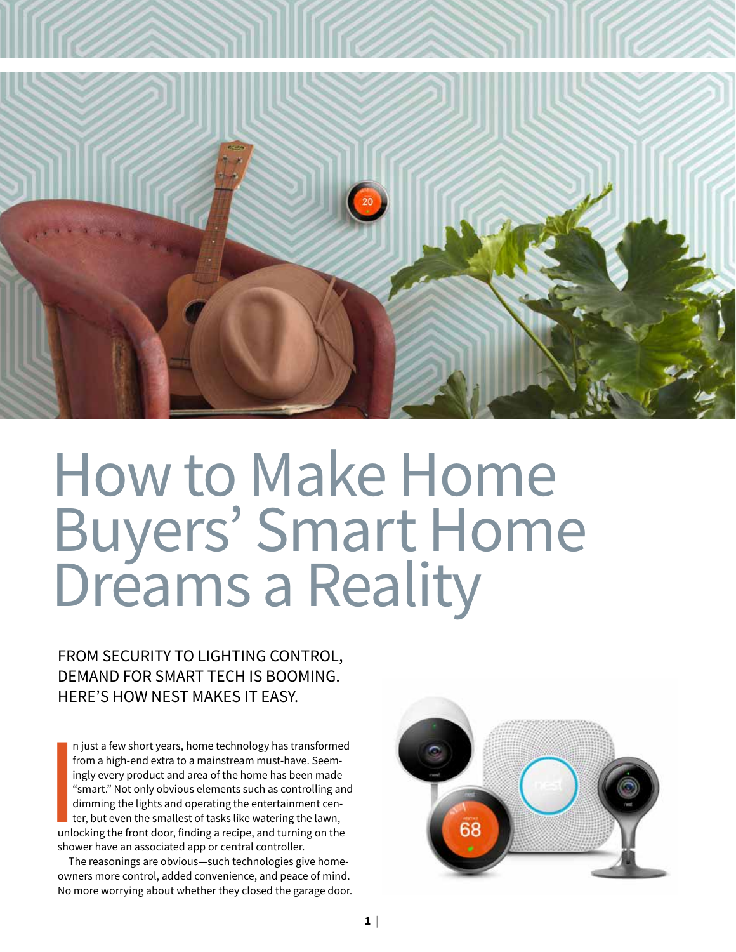

# How to Make Home Buyers' Smart Home Dreams a Reality

FROM SECURITY TO LIGHTING CONTROL, DEMAND FOR SMART TECH IS BOOMING. HERE'S HOW NEST MAKES IT EASY.

n<br>
fr<br>
ir<br>
if<br>
if<br>
d<br>
tt<br>
unlo<br>
show n just a few short years, home technology has transformed from a high-end extra to a mainstream must-have. Seemingly every product and area of the home has been made "smart." Not only obvious elements such as controlling and dimming the lights and operating the entertainment center, but even the smallest of tasks like watering the lawn, unlocking the front door, finding a recipe, and turning on the shower have an associated app or central controller.

The reasonings are obvious—such technologies give homeowners more control, added convenience, and peace of mind. No more worrying about whether they closed the garage door.

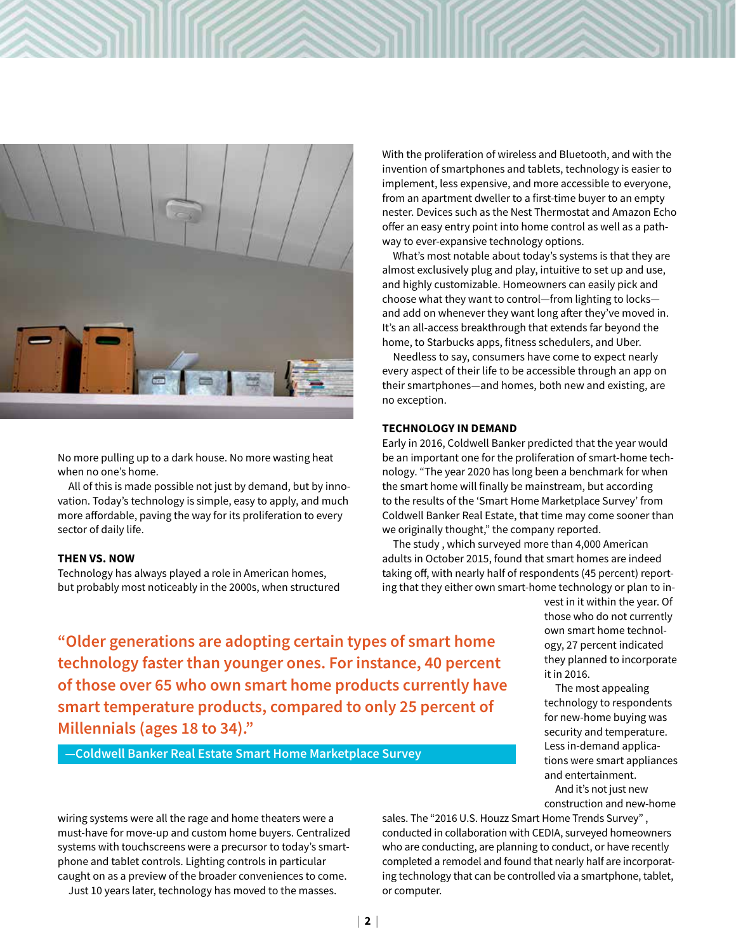

No more pulling up to a dark house. No more wasting heat when no one's home.

All of this is made possible not just by demand, but by innovation. Today's technology is simple, easy to apply, and much more affordable, paving the way for its proliferation to every sector of daily life.

#### **THEN VS. NOW**

Technology has always played a role in American homes, but probably most noticeably in the 2000s, when structured

With the proliferation of wireless and Bluetooth, and with the invention of smartphones and tablets, technology is easier to implement, less expensive, and more accessible to everyone, from an apartment dweller to a first-time buyer to an empty nester. Devices such as the Nest Thermostat and Amazon Echo offer an easy entry point into home control as well as a pathway to ever-expansive technology options.

What's most notable about today's systems is that they are almost exclusively plug and play, intuitive to set up and use, and highly customizable. Homeowners can easily pick and choose what they want to control—from lighting to locks and add on whenever they want long after they've moved in. It's an all-access breakthrough that extends far beyond the home, to Starbucks apps, fitness schedulers, and Uber.

Needless to say, consumers have come to expect nearly every aspect of their life to be accessible through an app on their smartphones—and homes, both new and existing, are no exception.

#### **TECHNOLOGY IN DEMAND**

Early in 2016, Coldwell Banker predicted that the year would be an important one for the proliferation of smart-home technology. "The year 2020 has long been a benchmark for when the smart home will finally be mainstream, but according to the results of the 'Smart Home Marketplace Survey' from Coldwell Banker Real Estate, that time may come sooner than we originally thought," the company reported.

The study , which surveyed more than 4,000 American adults in October 2015, found that smart homes are indeed taking off, with nearly half of respondents (45 percent) reporting that they either own smart-home technology or plan to in-

**"Older generations are adopting certain types of smart home technology faster than younger ones. For instance, 40 percent of those over 65 who own smart home products currently have smart temperature products, compared to only 25 percent of Millennials (ages 18 to 34)."**

**—Coldwell Banker Real Estate Smart Home Marketplace Survey**

vest in it within the year. Of those who do not currently own smart home technology, 27 percent indicated they planned to incorporate it in 2016.

The most appealing technology to respondents for new-home buying was security and temperature. Less in-demand applications were smart appliances and entertainment.

And it's not just new construction and new-home

sales. The "2016 U.S. Houzz Smart Home Trends Survey" , conducted in collaboration with CEDIA, surveyed homeowners who are conducting, are planning to conduct, or have recently completed a remodel and found that nearly half are incorporating technology that can be controlled via a smartphone, tablet, or computer.

wiring systems were all the rage and home theaters were a must-have for move-up and custom home buyers. Centralized systems with touchscreens were a precursor to today's smartphone and tablet controls. Lighting controls in particular caught on as a preview of the broader conveniences to come. Just 10 years later, technology has moved to the masses.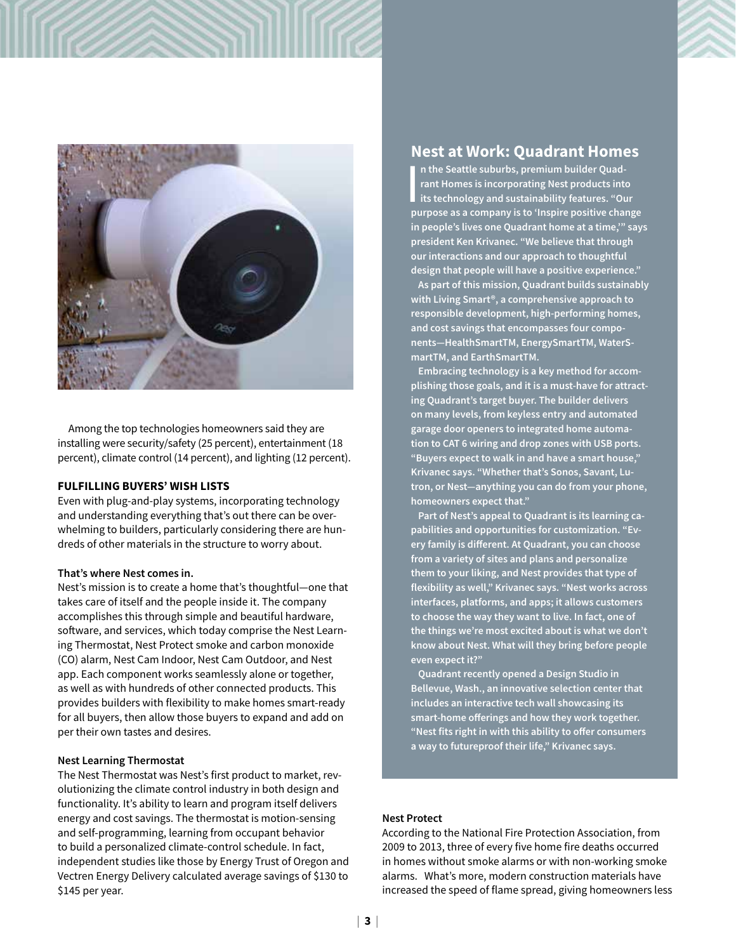

Among the top technologies homeowners said they are installing were security/safety (25 percent), entertainment (18 percent), climate control (14 percent), and lighting (12 percent).

#### **FULFILLING BUYERS' WISH LISTS**

Even with plug-and-play systems, incorporating technology and understanding everything that's out there can be overwhelming to builders, particularly considering there are hundreds of other materials in the structure to worry about.

#### **That's where Nest comes in.**

Nest's mission is to create a home that's thoughtful—one that takes care of itself and the people inside it. The company accomplishes this through simple and beautiful hardware, software, and services, which today comprise the Nest Learning Thermostat, Nest Protect smoke and carbon monoxide (CO) alarm, Nest Cam Indoor, Nest Cam Outdoor, and Nest app. Each component works seamlessly alone or together, as well as with hundreds of other connected products. This provides builders with flexibility to make homes smart-ready for all buyers, then allow those buyers to expand and add on per their own tastes and desires.

#### **Nest Learning Thermostat**

The Nest Thermostat was Nest's first product to market, revolutionizing the climate control industry in both design and functionality. It's ability to learn and program itself delivers energy and cost savings. The thermostat is motion-sensing and self-programming, learning from occupant behavior to build a personalized climate-control schedule. In fact, independent studies like those by Energy Trust of Oregon and Vectren Energy Delivery calculated average savings of \$130 to \$145 per year.

## **Nest at Work: Quadrant Homes**

In the Seattle suburbs, premium builder Quadrant Homes is incorporating Nest products into<br>its technology and sustainability features. "Our<br>purpose as a company is to 'Inspire positive change **n the Seattle suburbs, premium builder Quadrant Homes is incorporating Nest products into its technology and sustainability features. "Our in people's lives one Quadrant home at a time,'" says president Ken Krivanec. "We believe that through our interactions and our approach to thoughtful design that people will have a positive experience."**

**As part of this mission, Quadrant builds sustainably with Living Smart®, a comprehensive approach to responsible development, high-performing homes, and cost savings that encompasses four components—HealthSmartTM, EnergySmartTM, WaterSmartTM, and EarthSmartTM.**

**Embracing technology is a key method for accomplishing those goals, and it is a must-have for attracting Quadrant's target buyer. The builder delivers on many levels, from keyless entry and automated garage door openers to integrated home automation to CAT 6 wiring and drop zones with USB ports. "Buyers expect to walk in and have a smart house," Krivanec says. "Whether that's Sonos, Savant, Lutron, or Nest—anything you can do from your phone, homeowners expect that."**

**Part of Nest's appeal to Quadrant is its learning capabilities and opportunities for customization. "Every family is different. At Quadrant, you can choose from a variety of sites and plans and personalize them to your liking, and Nest provides that type of flexibility as well," Krivanec says. "Nest works across interfaces, platforms, and apps; it allows customers to choose the way they want to live. In fact, one of the things we're most excited about is what we don't know about Nest. What will they bring before people even expect it?"**

**Quadrant recently opened a Design Studio in Bellevue, Wash., an innovative selection center that includes an interactive tech wall showcasing its smart-home offerings and how they work together. "Nest fits right in with this ability to offer consumers a way to futureproof their life," Krivanec says.**

#### **Nest Protect**

According to the National Fire Protection Association, from 2009 to 2013, three of every five home fire deaths occurred in homes without smoke alarms or with non-working smoke alarms. What's more, modern construction materials have increased the speed of flame spread, giving homeowners less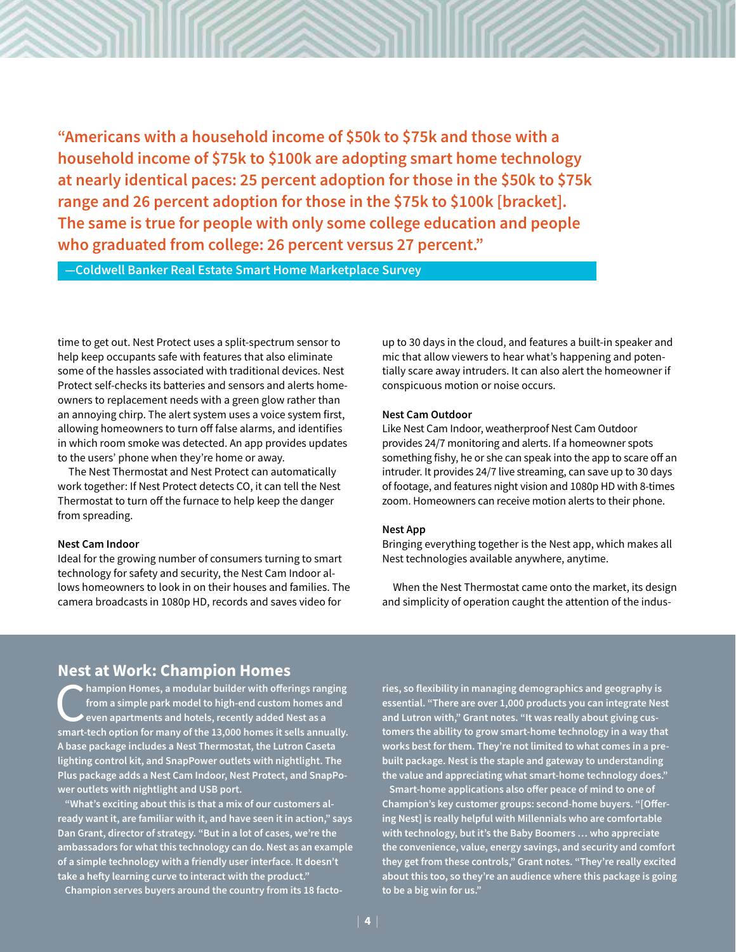**"Americans with a household income of \$50k to \$75k and those with a household income of \$75k to \$100k are adopting smart home technology at nearly identical paces: 25 percent adoption for those in the \$50k to \$75k range and 26 percent adoption for those in the \$75k to \$100k [bracket]. The same is true for people with only some college education and people who graduated from college: 26 percent versus 27 percent."**

**—Coldwell Banker Real Estate Smart Home Marketplace Survey**

time to get out. Nest Protect uses a split-spectrum sensor to help keep occupants safe with features that also eliminate some of the hassles associated with traditional devices. Nest Protect self-checks its batteries and sensors and alerts homeowners to replacement needs with a green glow rather than an annoying chirp. The alert system uses a voice system first, allowing homeowners to turn off false alarms, and identifies in which room smoke was detected. An app provides updates to the users' phone when they're home or away.

The Nest Thermostat and Nest Protect can automatically work together: If Nest Protect detects CO, it can tell the Nest Thermostat to turn off the furnace to help keep the danger from spreading.

#### **Nest Cam Indoor**

Ideal for the growing number of consumers turning to smart technology for safety and security, the Nest Cam Indoor allows homeowners to look in on their houses and families. The camera broadcasts in 1080p HD, records and saves video for

up to 30 days in the cloud, and features a built-in speaker and mic that allow viewers to hear what's happening and potentially scare away intruders. It can also alert the homeowner if conspicuous motion or noise occurs.

#### **Nest Cam Outdoor**

Like Nest Cam Indoor, weatherproof Nest Cam Outdoor provides 24/7 monitoring and alerts. If a homeowner spots something fishy, he or she can speak into the app to scare off an intruder. It provides 24/7 live streaming, can save up to 30 days of footage, and features night vision and 1080p HD with 8-times zoom. Homeowners can receive motion alerts to their phone.

#### **Nest App**

Bringing everything together is the Nest app, which makes all Nest technologies available anywhere, anytime.

When the Nest Thermostat came onto the market, its design and simplicity of operation caught the attention of the indus-

## **Nest at Work: Champion Homes**

**Computer 19 Example 13 Accord 2015** from a simple park model to high-end custom homes and even apartments and hotels, recently added Nest as a smart-tech ontion for many of the 13,000 homes it sells annually **from a simple park model to high-end custom homes and even apartments and hotels, recently added Nest as a smart-tech option for many of the 13,000 homes it sells annually. A base package includes a Nest Thermostat, the Lutron Caseta lighting control kit, and SnapPower outlets with nightlight. The Plus package adds a Nest Cam Indoor, Nest Protect, and SnapPower outlets with nightlight and USB port.** 

**"What's exciting about this is that a mix of our customers already want it, are familiar with it, and have seen it in action," says Dan Grant, director of strategy. "But in a lot of cases, we're the ambassadors for what this technology can do. Nest as an example of a simple technology with a friendly user interface. It doesn't take a hefty learning curve to interact with the product."**

**Champion serves buyers around the country from its 18 facto-**

**ries, so flexibility in managing demographics and geography is essential. "There are over 1,000 products you can integrate Nest and Lutron with," Grant notes. "It was really about giving customers the ability to grow smart-home technology in a way that works best for them. They're not limited to what comes in a prebuilt package. Nest is the staple and gateway to understanding the value and appreciating what smart-home technology does."** 

**Smart-home applications also offer peace of mind to one of Champion's key customer groups: second-home buyers. "[Offering Nest] is really helpful with Millennials who are comfortable with technology, but it's the Baby Boomers … who appreciate the convenience, value, energy savings, and security and comfort they get from these controls," Grant notes. "They're really excited about this too, so they're an audience where this package is going to be a big win for us."**